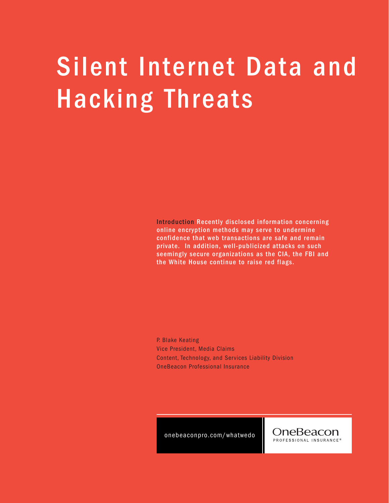## Silent Internet Data and Hacking Threats

Introduction Recently disclosed information concerning online encryption methods may serve to undermine confidence that web transactions are safe and remain private. In addition, well-publicized attacks on such seemingly secure organizations as the CIA, the FBI and the White House continue to raise red flags.

P. Blake Keating Vice President, Media Claims Content, Technology, and Services Liability Division OneBeacon Professional Insurance

onebeaconpro.com/whatwedo

OneBeacon PROFESSIONAL INSURANCE<sup>®</sup>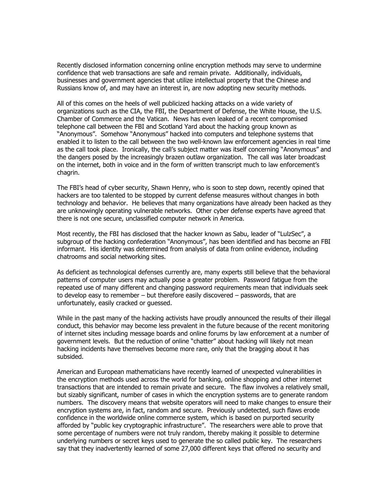Recently disclosed information concerning online encryption methods may serve to undermine confidence that web transactions are safe and remain private. Additionally, individuals, businesses and government agencies that utilize intellectual property that the Chinese and Russians know of, and may have an interest in, are now adopting new security methods.

All of this comes on the heels of well publicized hacking attacks on a wide variety of organizations such as the CIA, the FBI, the Department of Defense, the White House, the U.S. Chamber of Commerce and the Vatican. News has even leaked of a recent compromised telephone call between the FBI and Scotland Yard about the hacking group known as "Anonymous". Somehow "Anonymous" hacked into computers and telephone systems that enabled it to listen to the call between the two well-known law enforcement agencies in real time as the call took place. Ironically, the call's subject matter was itself concerning "Anonymous" and the dangers posed by the increasingly brazen outlaw organization. The call was later broadcast on the internet, both in voice and in the form of written transcript much to law enforcement's chagrin.

The FBI's head of cyber security, Shawn Henry, who is soon to step down, recently opined that hackers are too talented to be stopped by current defense measures without changes in both technology and behavior. He believes that many organizations have already been hacked as they are unknowingly operating vulnerable networks. Other cyber defense experts have agreed that there is not one secure, unclassified computer network in America.

Most recently, the FBI has disclosed that the hacker known as Sabu, leader of "LulzSec", a subgroup of the hacking confederation "Anonymous", has been identified and has become an FBI informant. His identity was determined from analysis of data from online evidence, including chatrooms and social networking sites.

As deficient as technological defenses currently are, many experts still believe that the behavioral patterns of computer users may actually pose a greater problem. Password fatigue from the repeated use of many different and changing password requirements mean that individuals seek to develop easy to remember – but therefore easily discovered – passwords, that are unfortunately, easily cracked or guessed.

While in the past many of the hacking activists have proudly announced the results of their illegal conduct, this behavior may become less prevalent in the future because of the recent monitoring of internet sites including message boards and online forums by law enforcement at a number of government levels. But the reduction of online "chatter" about hacking will likely not mean hacking incidents have themselves become more rare, only that the bragging about it has subsided.

American and European mathematicians have recently learned of unexpected vulnerabilities in the encryption methods used across the world for banking, online shopping and other internet transactions that are intended to remain private and secure. The flaw involves a relatively small, but sizably significant, number of cases in which the encryption systems are to generate random numbers. The discovery means that website operators will need to make changes to ensure their encryption systems are, in fact, random and secure. Previously undetected, such flaws erode confidence in the worldwide online commerce system, which is based on purported security afforded by "public key cryptographic infrastructure". The researchers were able to prove that some percentage of numbers were not truly random, thereby making it possible to determine underlying numbers or secret keys used to generate the so called public key. The researchers say that they inadvertently learned of some 27,000 different keys that offered no security and